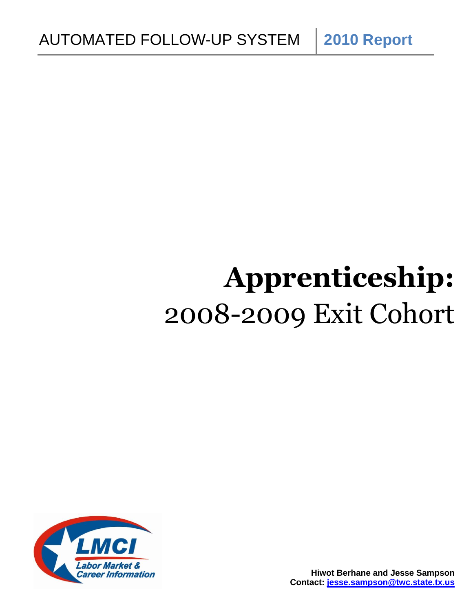**Apprenticeship:** 2008-2009 Exit Cohort

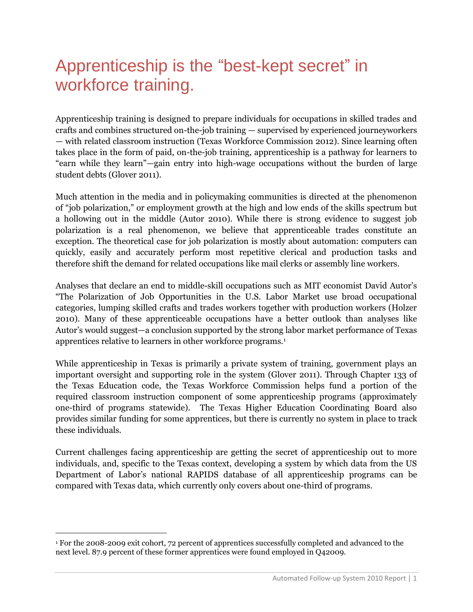# Apprenticeship is the "best-kept secret" in workforce training.

Apprenticeship training is designed to prepare individuals for occupations in skilled trades and crafts and combines structured on-the-job training — supervised by experienced journeyworkers — with related classroom instruction (Texas Workforce Commission 2012). Since learning often takes place in the form of paid, on-the-job training, apprenticeship is a pathway for learners to "earn while they learn"—gain entry into high-wage occupations without the burden of large student debts (Glover 2011).

Much attention in the media and in policymaking communities is directed at the phenomenon of "job polarization," or employment growth at the high and low ends of the skills spectrum but a hollowing out in the middle (Autor 2010). While there is strong evidence to suggest job polarization is a real phenomenon, we believe that apprenticeable trades constitute an exception. The theoretical case for job polarization is mostly about automation: computers can quickly, easily and accurately perform most repetitive clerical and production tasks and therefore shift the demand for related occupations like mail clerks or assembly line workers.

Analyses that declare an end to middle-skill occupations such as MIT economist David Autor"s "The Polarization of Job Opportunities in the U.S. Labor Market use broad occupational categories, lumping skilled crafts and trades workers together with production workers (Holzer 2010). Many of these apprenticeable occupations have a better outlook than analyses like Autor"s would suggest—a conclusion supported by the strong labor market performance of Texas apprentices relative to learners in other workforce programs.<sup>1</sup>

While apprenticeship in Texas is primarily a private system of training, government plays an important oversight and supporting role in the system (Glover 2011). Through Chapter 133 of the Texas Education code, the Texas Workforce Commission helps fund a portion of the required classroom instruction component of some apprenticeship programs (approximately one-third of programs statewide). The Texas Higher Education Coordinating Board also provides similar funding for some apprentices, but there is currently no system in place to track these individuals.

Current challenges facing apprenticeship are getting the secret of apprenticeship out to more individuals, and, specific to the Texas context, developing a system by which data from the US Department of Labor"s national RAPIDS database of all apprenticeship programs can be compared with Texas data, which currently only covers about one-third of programs.

 $\overline{a}$ 

<sup>1</sup> For the 2008-2009 exit cohort, 72 percent of apprentices successfully completed and advanced to the next level. 87.9 percent of these former apprentices were found employed in Q42009.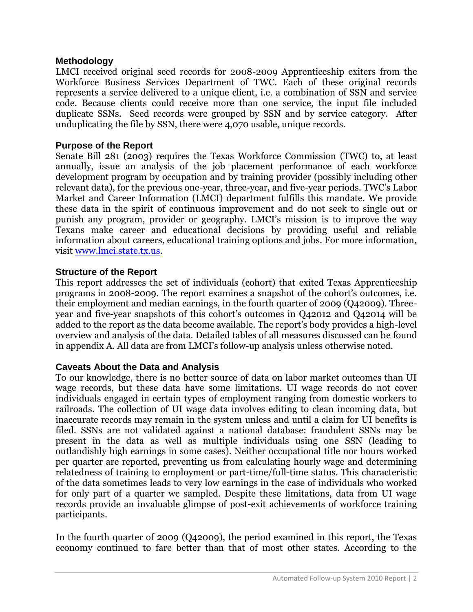# **Methodology**

LMCI received original seed records for 2008-2009 Apprenticeship exiters from the Workforce Business Services Department of TWC. Each of these original records represents a service delivered to a unique client, i.e. a combination of SSN and service code. Because clients could receive more than one service, the input file included duplicate SSNs. Seed records were grouped by SSN and by service category. After unduplicating the file by SSN, there were 4,070 usable, unique records.

# **Purpose of the Report**

Senate Bill 281 (2003) requires the Texas Workforce Commission (TWC) to, at least annually, issue an analysis of the job placement performance of each workforce development program by occupation and by training provider (possibly including other relevant data), for the previous one-year, three-year, and five-year periods. TWC"s Labor Market and Career Information (LMCI) department fulfills this mandate. We provide these data in the spirit of continuous improvement and do not seek to single out or punish any program, provider or geography. LMCI"s mission is to improve the way Texans make career and educational decisions by providing useful and reliable information about careers, educational training options and jobs. For more information, visit [www.lmci.state.tx.us.](http://www.lmci.state.tx.us/)

# **Structure of the Report**

This report addresses the set of individuals (cohort) that exited Texas Apprenticeship programs in 2008-2009. The report examines a snapshot of the cohort's outcomes, i.e. their employment and median earnings, in the fourth quarter of 2009 (Q42009). Threeyear and five-year snapshots of this cohort's outcomes in Q42012 and Q42014 will be added to the report as the data become available. The report"s body provides a high-level overview and analysis of the data. Detailed tables of all measures discussed can be found in appendix A. All data are from LMCI"s follow-up analysis unless otherwise noted.

# **Caveats About the Data and Analysis**

To our knowledge, there is no better source of data on labor market outcomes than UI wage records, but these data have some limitations. UI wage records do not cover individuals engaged in certain types of employment ranging from domestic workers to railroads. The collection of UI wage data involves editing to clean incoming data, but inaccurate records may remain in the system unless and until a claim for UI benefits is filed. SSNs are not validated against a national database: fraudulent SSNs may be present in the data as well as multiple individuals using one SSN (leading to outlandishly high earnings in some cases). Neither occupational title nor hours worked per quarter are reported, preventing us from calculating hourly wage and determining relatedness of training to employment or part-time/full-time status. This characteristic of the data sometimes leads to very low earnings in the case of individuals who worked for only part of a quarter we sampled. Despite these limitations, data from UI wage records provide an invaluable glimpse of post-exit achievements of workforce training participants.

In the fourth quarter of 2009 (Q42009), the period examined in this report, the Texas economy continued to fare better than that of most other states. According to the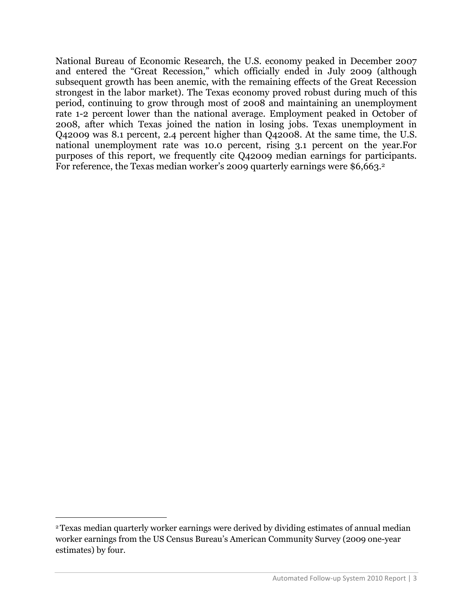National Bureau of Economic Research, the U.S. economy peaked in December 2007 and entered the "Great Recession," which officially ended in July 2009 (although subsequent growth has been anemic, with the remaining effects of the Great Recession strongest in the labor market). The Texas economy proved robust during much of this period, continuing to grow through most of 2008 and maintaining an unemployment rate 1-2 percent lower than the national average. Employment peaked in October of 2008, after which Texas joined the nation in losing jobs. Texas unemployment in Q42009 was 8.1 percent, 2.4 percent higher than Q42008. At the same time, the U.S. national unemployment rate was 10.0 percent, rising 3.1 percent on the year.For purposes of this report, we frequently cite Q42009 median earnings for participants. For reference, the Texas median worker's 2009 quarterly earnings were \$6,663.<sup>2</sup>

 $\overline{a}$ 

<sup>2</sup>Texas median quarterly worker earnings were derived by dividing estimates of annual median worker earnings from the US Census Bureau"s American Community Survey (2009 one-year estimates) by four.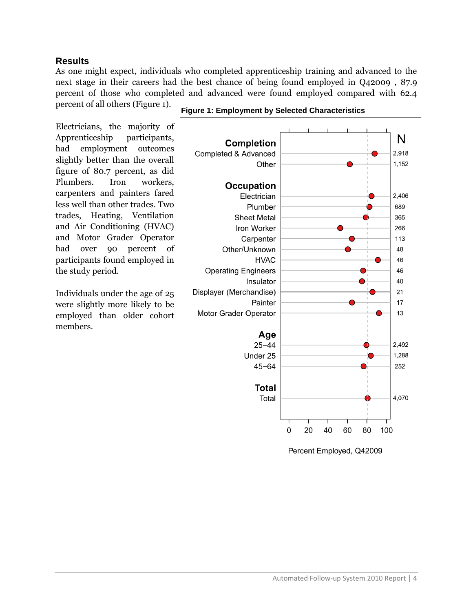### **Results**

As one might expect, individuals who completed apprenticeship training and advanced to the next stage in their careers had the best chance of being found employed in Q42009 , 87.9 percent of those who completed and advanced were found employed compared with 62.4 percent of all others (Figure 1).

Electricians, the majority of Apprenticeship participants, had employment outcomes slightly better than the overall figure of 80.7 percent, as did Plumbers. Iron workers, carpenters and painters fared less well than other trades. Two trades, Heating, Ventilation and Air Conditioning (HVAC) and Motor Grader Operator had over 90 percent of participants found employed in the study period.

Individuals under the age of 25 were slightly more likely to be employed than older cohort members.



**Figure 1: Employment by Selected Characteristics**

Percent Employed, Q42009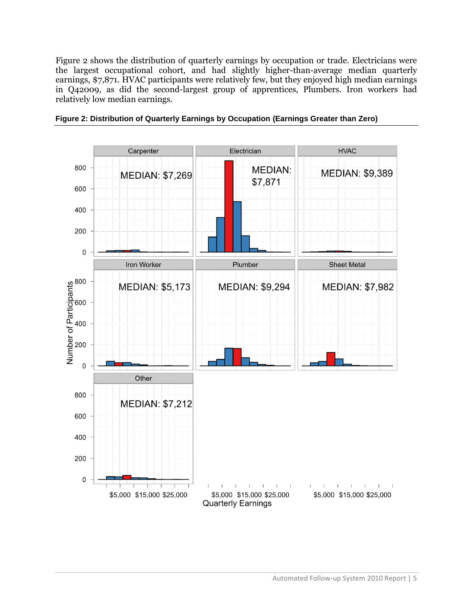Figure 2 shows the distribution of quarterly earnings by occupation or trade. Electricians were the largest occupational cohort, and had slightly higher-than-average median quarterly earnings, \$7,871. HVAC participants were relatively few, but they enjoyed high median earnings in Q42009, as did the second-largest group of apprentices, Plumbers. Iron workers had relatively low median earnings.



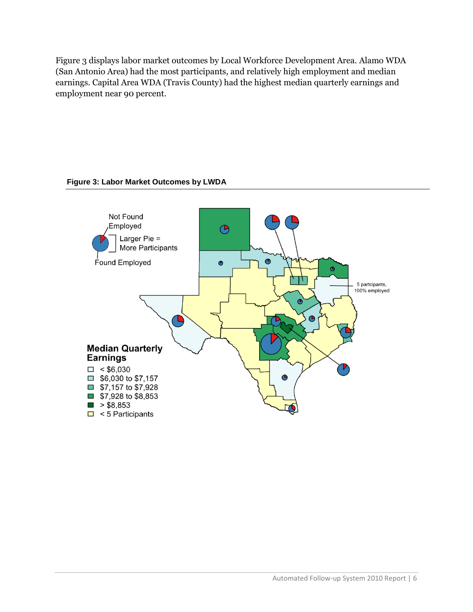Figure 3 displays labor market outcomes by Local Workforce Development Area. Alamo WDA (San Antonio Area) had the most participants, and relatively high employment and median earnings. Capital Area WDA (Travis County) had the highest median quarterly earnings and employment near 90 percent.

#### **Figure 3: Labor Market Outcomes by LWDA**

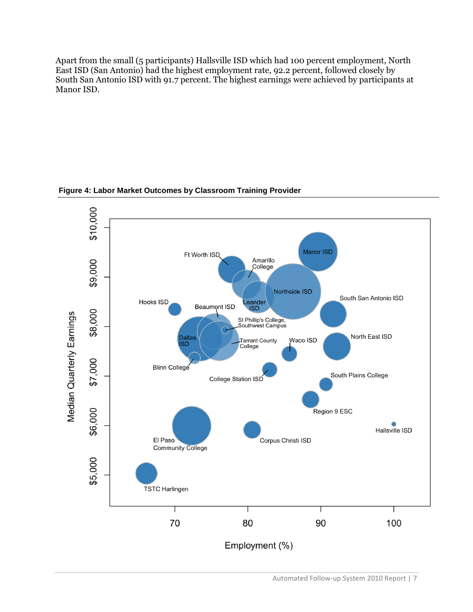Apart from the small (5 participants) Hallsville ISD which had 100 percent employment, North East ISD (San Antonio) had the highest employment rate, 92.2 percent, followed closely by South San Antonio ISD with 91.7 percent. The highest earnings were achieved by participants at Manor ISD.



**Figure 4: Labor Market Outcomes by Classroom Training Provider**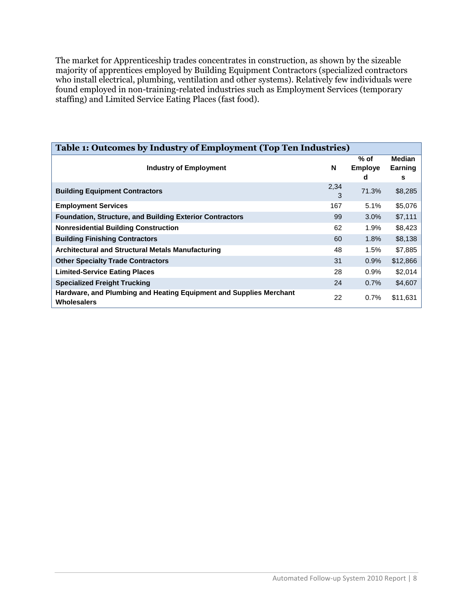The market for Apprenticeship trades concentrates in construction, as shown by the sizeable majority of apprentices employed by Building Equipment Contractors (specialized contractors who install electrical, plumbing, ventilation and other systems). Relatively few individuals were found employed in non-training-related industries such as Employment Services (temporary staffing) and Limited Service Eating Places (fast food).

| Table 1: Outcomes by Industry of Employment (Top Ten Industries)                         |           |                             |                        |  |  |  |  |
|------------------------------------------------------------------------------------------|-----------|-----------------------------|------------------------|--|--|--|--|
| <b>Industry of Employment</b>                                                            | N         | % of<br><b>Employe</b><br>d | Median<br>Earning<br>s |  |  |  |  |
| <b>Building Equipment Contractors</b>                                                    | 2,34<br>3 | 71.3%                       | \$8,285                |  |  |  |  |
| <b>Employment Services</b>                                                               | 167       | 5.1%                        | \$5,076                |  |  |  |  |
| <b>Foundation, Structure, and Building Exterior Contractors</b>                          | 99        | $3.0\%$                     | \$7,111                |  |  |  |  |
| <b>Nonresidential Building Construction</b>                                              | 62        | 1.9%                        | \$8,423                |  |  |  |  |
| <b>Building Finishing Contractors</b>                                                    | 60        | 1.8%                        | \$8,138                |  |  |  |  |
| <b>Architectural and Structural Metals Manufacturing</b>                                 | 48        | 1.5%                        | \$7,885                |  |  |  |  |
| <b>Other Specialty Trade Contractors</b>                                                 | 31        | 0.9%                        | \$12,866               |  |  |  |  |
| <b>Limited-Service Eating Places</b>                                                     | 28        | 0.9%                        | \$2,014                |  |  |  |  |
| <b>Specialized Freight Trucking</b>                                                      | 24        | 0.7%                        | \$4,607                |  |  |  |  |
| Hardware, and Plumbing and Heating Equipment and Supplies Merchant<br><b>Wholesalers</b> | 22        | 0.7%                        | \$11,631               |  |  |  |  |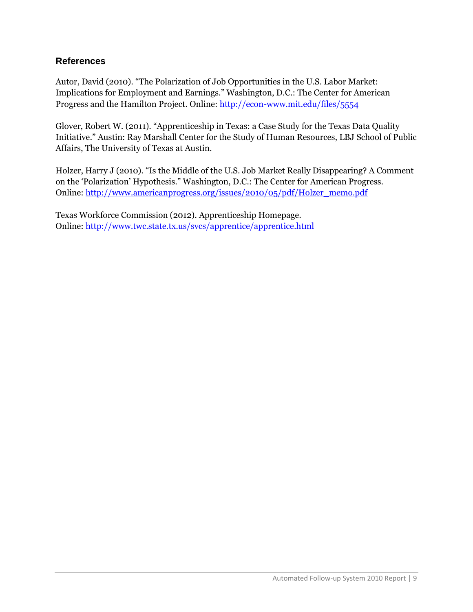# **References**

Autor, David (2010). "The Polarization of Job Opportunities in the U.S. Labor Market: Implications for Employment and Earnings." Washington, D.C.: The Center for American Progress and the Hamilton Project. Online:<http://econ-www.mit.edu/files/5554>

Glover, Robert W. (2011). "Apprenticeship in Texas: a Case Study for the Texas Data Quality Initiative." Austin: Ray Marshall Center for the Study of Human Resources, LBJ School of Public Affairs, The University of Texas at Austin.

Holzer, Harry J (2010). "Is the Middle of the U.S. Job Market Really Disappearing? A Comment on the "Polarization" Hypothesis." Washington, D.C.: The Center for American Progress. Online: [http://www.americanprogress.org/issues/2010/05/pdf/Holzer\\_memo.pdf](http://www.americanprogress.org/issues/2010/05/pdf/Holzer_memo.pdf)

Texas Workforce Commission (2012). Apprenticeship Homepage. Online:<http://www.twc.state.tx.us/svcs/apprentice/apprentice.html>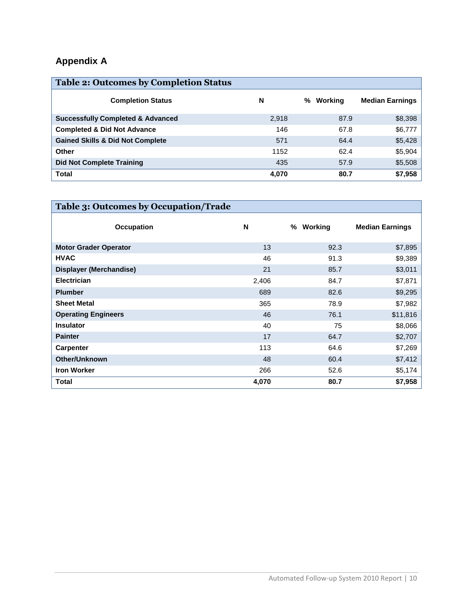# **Appendix A**

| <b>Table 2: Outcomes by Completion Status</b> |       |              |                        |
|-----------------------------------------------|-------|--------------|------------------------|
| <b>Completion Status</b>                      | N     | Working<br>% | <b>Median Earnings</b> |
| <b>Successfully Completed &amp; Advanced</b>  | 2,918 | 87.9         | \$8,398                |
| <b>Completed &amp; Did Not Advance</b>        | 146   | 67.8         | \$6,777                |
| <b>Gained Skills &amp; Did Not Complete</b>   | 571   | 64.4         | \$5,428                |
| Other                                         | 1152  | 62.4         | \$5,904                |
| <b>Did Not Complete Training</b>              | 435   | 57.9         | \$5,508                |
| <b>Total</b>                                  | 4,070 | 80.7         | \$7,958                |

| Table 3: Outcomes by Occupation/Trade |       |              |                        |
|---------------------------------------|-------|--------------|------------------------|
| <b>Occupation</b>                     | N     | Working<br>% | <b>Median Earnings</b> |
| <b>Motor Grader Operator</b>          | 13    | 92.3         | \$7,895                |
| <b>HVAC</b>                           | 46    | 91.3         | \$9,389                |
| Displayer (Merchandise)               | 21    | 85.7         | \$3,011                |
| <b>Electrician</b>                    | 2,406 | 84.7         | \$7,871                |
| <b>Plumber</b>                        | 689   | 82.6         | \$9,295                |
| <b>Sheet Metal</b>                    | 365   | 78.9         | \$7,982                |
| <b>Operating Engineers</b>            | 46    | 76.1         | \$11,816               |
| <b>Insulator</b>                      | 40    | 75           | \$8,066                |
| <b>Painter</b>                        | 17    | 64.7         | \$2,707                |
| <b>Carpenter</b>                      | 113   | 64.6         | \$7,269                |
| <b>Other/Unknown</b>                  | 48    | 60.4         | \$7,412                |
| <b>Iron Worker</b>                    | 266   | 52.6         | \$5,174                |
| <b>Total</b>                          | 4,070 | 80.7         | \$7,958                |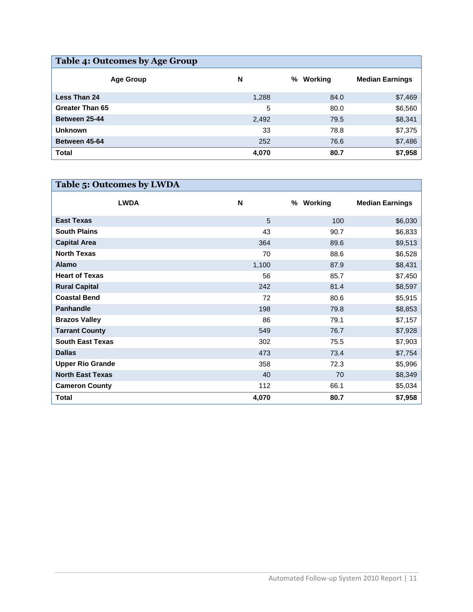| Table 4: Outcomes by Age Group |       |              |                        |  |  |  |  |
|--------------------------------|-------|--------------|------------------------|--|--|--|--|
| <b>Age Group</b>               | N     | Working<br>℅ | <b>Median Earnings</b> |  |  |  |  |
| <b>Less Than 24</b>            | 1,288 | 84.0         | \$7,469                |  |  |  |  |
| <b>Greater Than 65</b>         | 5     | 80.0         | \$6,560                |  |  |  |  |
| Between 25-44                  | 2,492 | 79.5         | \$8,341                |  |  |  |  |
| <b>Unknown</b>                 | 33    | 78.8         | \$7,375                |  |  |  |  |
| Between 45-64                  | 252   | 76.6         | \$7,486                |  |  |  |  |
| <b>Total</b>                   | 4,070 | 80.7         | \$7,958                |  |  |  |  |

| Table 5: Outcomes by LWDA |       |              |                        |
|---------------------------|-------|--------------|------------------------|
| <b>LWDA</b>               | N     | Working<br>℅ | <b>Median Earnings</b> |
| <b>East Texas</b>         | 5     | 100          | \$6,030                |
| <b>South Plains</b>       | 43    | 90.7         | \$6,833                |
| <b>Capital Area</b>       | 364   | 89.6         | \$9,513                |
| <b>North Texas</b>        | 70    | 88.6         | \$6,528                |
| <b>Alamo</b>              | 1,100 | 87.9         | \$8,431                |
| <b>Heart of Texas</b>     | 56    | 85.7         | \$7,450                |
| <b>Rural Capital</b>      | 242   | 81.4         | \$8,597                |
| <b>Coastal Bend</b>       | 72    | 80.6         | \$5,915                |
| <b>Panhandle</b>          | 198   | 79.8         | \$8,853                |
| <b>Brazos Valley</b>      | 86    | 79.1         | \$7,157                |
| <b>Tarrant County</b>     | 549   | 76.7         | \$7,928                |
| <b>South East Texas</b>   | 302   | 75.5         | \$7,903                |
| <b>Dallas</b>             | 473   | 73.4         | \$7,754                |
| <b>Upper Rio Grande</b>   | 358   | 72.3         | \$5,996                |
| <b>North East Texas</b>   | 40    | 70           | \$8,349                |
| <b>Cameron County</b>     | 112   | 66.1         | \$5,034                |
| <b>Total</b>              | 4,070 | 80.7         | \$7,958                |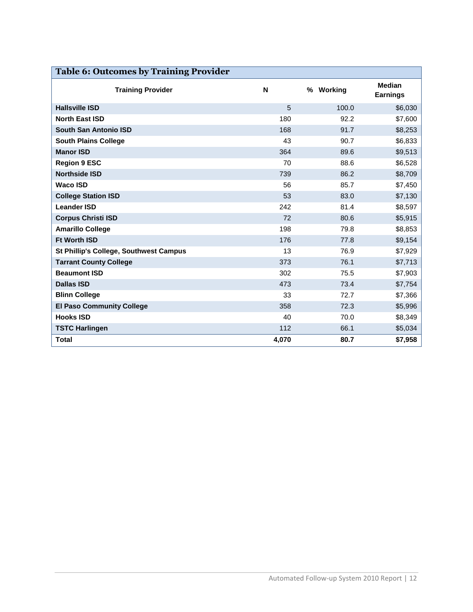| <b>Table 6: Outcomes by Training Provider</b> |       |              |                                  |  |  |  |
|-----------------------------------------------|-------|--------------|----------------------------------|--|--|--|
| <b>Training Provider</b>                      | N     | Working<br>% | <b>Median</b><br><b>Earnings</b> |  |  |  |
| <b>Hallsville ISD</b>                         | 5     | 100.0        | \$6,030                          |  |  |  |
| <b>North East ISD</b>                         | 180   | 92.2         | \$7,600                          |  |  |  |
| South San Antonio ISD                         | 168   | 91.7         | \$8,253                          |  |  |  |
| <b>South Plains College</b>                   | 43    | 90.7         | \$6,833                          |  |  |  |
| <b>Manor ISD</b>                              | 364   | 89.6         | \$9,513                          |  |  |  |
| <b>Region 9 ESC</b>                           | 70    | 88.6         | \$6,528                          |  |  |  |
| <b>Northside ISD</b>                          | 739   | 86.2         | \$8,709                          |  |  |  |
| <b>Waco ISD</b>                               | 56    | 85.7         | \$7,450                          |  |  |  |
| <b>College Station ISD</b>                    | 53    | 83.0         | \$7,130                          |  |  |  |
| <b>Leander ISD</b>                            | 242   | 81.4         | \$8,597                          |  |  |  |
| <b>Corpus Christi ISD</b>                     | 72    | 80.6         | \$5,915                          |  |  |  |
| <b>Amarillo College</b>                       | 198   | 79.8         | \$8,853                          |  |  |  |
| <b>Ft Worth ISD</b>                           | 176   | 77.8         | \$9,154                          |  |  |  |
| St Phillip's College, Southwest Campus        | 13    | 76.9         | \$7,929                          |  |  |  |
| <b>Tarrant County College</b>                 | 373   | 76.1         | \$7,713                          |  |  |  |
| <b>Beaumont ISD</b>                           | 302   | 75.5         | \$7,903                          |  |  |  |
| <b>Dallas ISD</b>                             | 473   | 73.4         | \$7,754                          |  |  |  |
| <b>Blinn College</b>                          | 33    | 72.7         | \$7,366                          |  |  |  |
| <b>El Paso Community College</b>              | 358   | 72.3         | \$5,996                          |  |  |  |
| <b>Hooks ISD</b>                              | 40    | 70.0         | \$8,349                          |  |  |  |
| <b>TSTC Harlingen</b>                         | 112   | 66.1         | \$5,034                          |  |  |  |
| <b>Total</b>                                  | 4,070 | 80.7         | \$7,958                          |  |  |  |